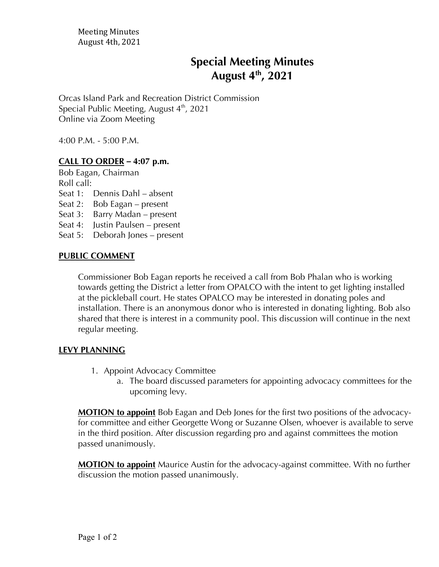# **Special Meeting Minutes August 4th , 2021**

Orcas Island Park and Recreation District Commission Special Public Meeting, August  $4<sup>th</sup>$ , 2021 Online via Zoom Meeting

4:00 P.M. - 5:00 P.M.

## **CALL TO ORDER** *–* **4:07 p.m.**

Bob Eagan, Chairman Roll call:

- Seat 1: Dennis Dahl absent
- Seat 2: Bob Eagan present
- Seat 3: Barry Madan present
- Seat 4: Justin Paulsen present
- Seat 5: Deborah Jones present

### **PUBLIC COMMENT**

Commissioner Bob Eagan reports he received a call from Bob Phalan who is working towards getting the District a letter from OPALCO with the intent to get lighting installed at the pickleball court. He states OPALCO may be interested in donating poles and installation. There is an anonymous donor who is interested in donating lighting. Bob also shared that there is interest in a community pool. This discussion will continue in the next regular meeting.

#### **LEVY PLANNING**

- 1. Appoint Advocacy Committee
	- a. The board discussed parameters for appointing advocacy committees for the upcoming levy.

**MOTION to appoint** Bob Eagan and Deb Jones for the first two positions of the advocacyfor committee and either Georgette Wong or Suzanne Olsen, whoever is available to serve in the third position. After discussion regarding pro and against committees the motion passed unanimously.

**MOTION to appoint** Maurice Austin for the advocacy-against committee. With no further discussion the motion passed unanimously.